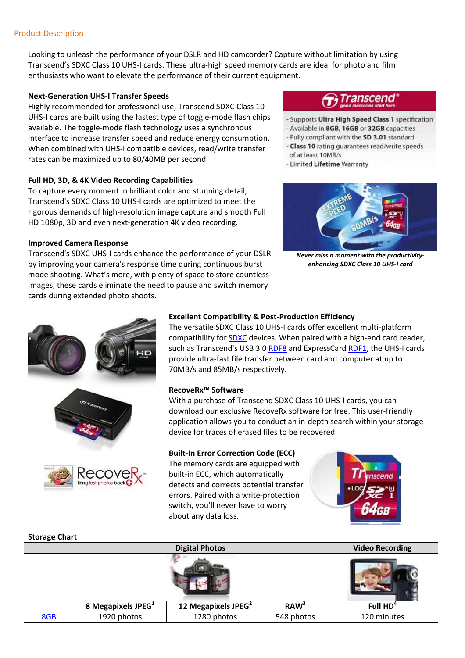Looking to unleash the performance of your DSLR and HD camcorder? Capture without limitation by using Transcend's SDXC Class 10 UHS-I cards. These ultra-high speed memory cards are ideal for photo and film enthusiasts who want to elevate the performance of their current equipment.

## **Next-Generation UHS-I Transfer Speeds**

Highly recommended for professional use, Transcend SDXC Class 10 UHS-I cards are built using the fastest type of toggle-mode flash chips available. The toggle-mode flash technology uses a synchronous interface to increase transfer speed and reduce energy consumption. When combined with UHS-I compatible devices, read/write transfer rates can be maximized up to 80/40MB per second.

## **Full HD, 3D, & 4K Video Recording Capabilities**

To capture every moment in brilliant color and stunning detail, Transcend's SDXC Class 10 UHS-I cards are optimized to meet the rigorous demands of high-resolution image capture and smooth Full HD 1080p, 3D and even next-generation 4K video recording.

### **Improved Camera Response**

Transcend's SDXC UHS-I cards enhance the performance of your DSLR by improving your camera's response time during continuous burst mode shooting. What's more, with plenty of space to store countless images, these cards eliminate the need to pause and switch memory cards during extended photo shoots.

# ranscend

- Supports Ultra High Speed Class 1 specification
- Available in 8GB, 16GB or 32GB capacities
- Fully compliant with the SD 3.01 standard
- Class 10 rating quarantees read/write speeds of at least 10MB/s
- Limited Lifetime Warranty



*Never miss a moment with the productivityenhancing SDXC Class 10 UHS-I card* 





# **Excellent Compatibility & Post-Production Efficiency**

The versatile SDXC Class 10 UHS-I cards offer excellent multi-platform compatibility for SDXC devices. When paired with a high-end card reader, such as Transcend's USB 3.0 RDF8 and ExpressCard RDF1, the UHS-I cards provide ultra-fast file transfer between card and computer at up to 70MB/s and 85MB/s respectively.

### **RecoveRx™ Software**

With a purchase of Transcend SDXC Class 10 UHS-I cards, you can download our exclusive RecoveRx software for free. This user-friendly application allows you to conduct an in-depth search within your storage device for traces of erased files to be recovered.

# **Built-In Error Correction Code (ECC)**

The memory cards are equipped with built-in ECC, which automatically detects and corrects potential transfer errors. Paired with a write-protection switch, you'll never have to worry about any data loss.



### **Storage Chart**

|            | <b>Digital Photos</b>  |                                 |                  | <b>Video Recording</b> |
|------------|------------------------|---------------------------------|------------------|------------------------|
|            |                        |                                 |                  |                        |
|            | 8 Megapixels JPEG $^1$ | 12 Megapixels JPEG <sup>2</sup> | RAW <sup>3</sup> | Full HD <sup>4</sup>   |
| <b>8GB</b> | 1920 photos            | 1280 photos                     | 548 photos       | 120 minutes            |